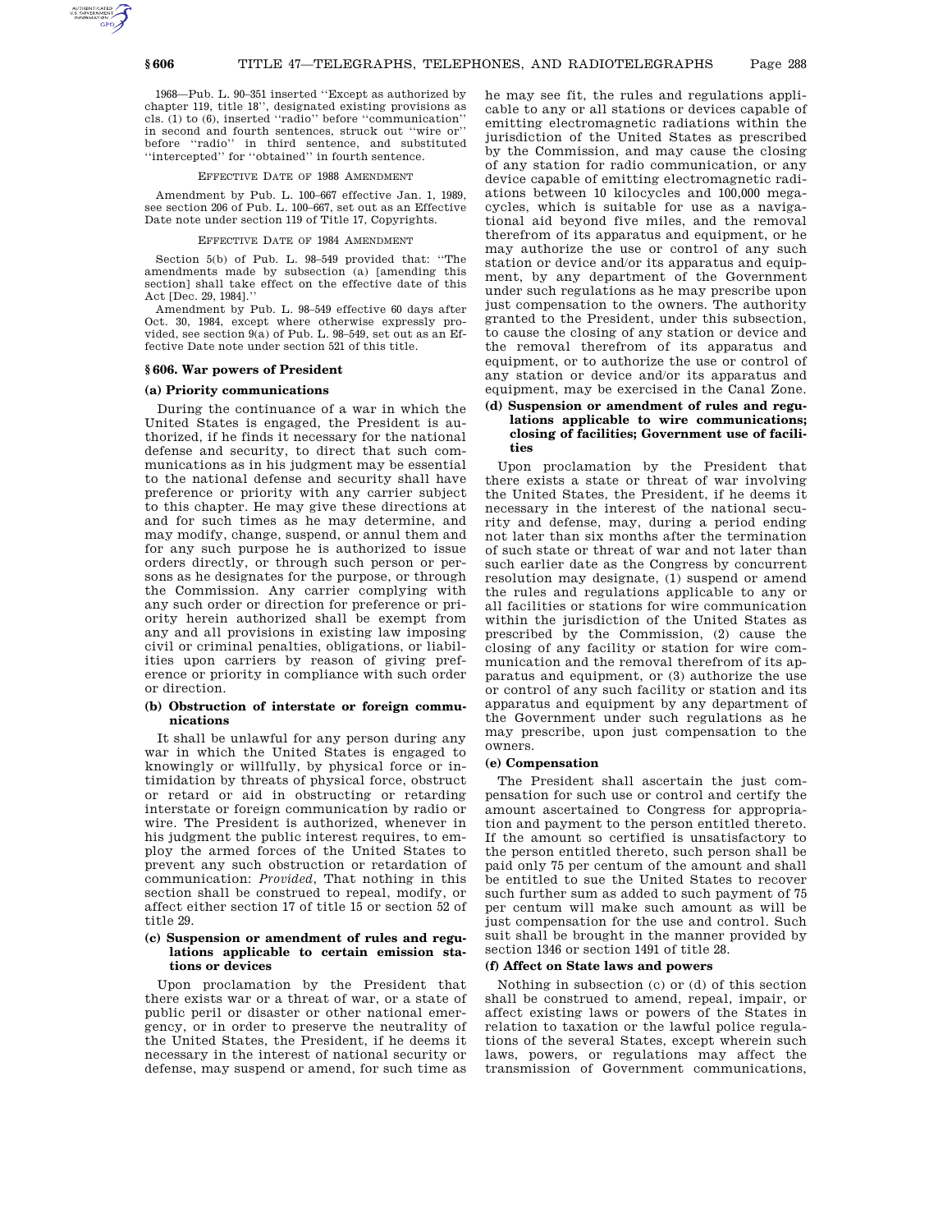1968—Pub. L. 90–351 inserted ''Except as authorized by chapter 119, title 18'', designated existing provisions as cls. (1) to (6), inserted ''radio'' before ''communication'' in second and fourth sentences, struck out ''wire or'' before ''radio'' in third sentence, and substituted 'intercepted'' for "obtained" in fourth sentence.

# EFFECTIVE DATE OF 1988 AMENDMENT

Amendment by Pub. L. 100–667 effective Jan. 1, 1989, see section 206 of Pub. L. 100–667, set out as an Effective Date note under section 119 of Title 17, Copyrights.

## EFFECTIVE DATE OF 1984 AMENDMENT

Section 5(b) of Pub. L. 98–549 provided that: ''The amendments made by subsection (a) [amending this section] shall take effect on the effective date of this Act [Dec. 29, 1984].

Amendment by Pub. L. 98–549 effective 60 days after Oct. 30, 1984, except where otherwise expressly provided, see section 9(a) of Pub. L. 98–549, set out as an Effective Date note under section 521 of this title.

### **§ 606. War powers of President**

## **(a) Priority communications**

During the continuance of a war in which the United States is engaged, the President is authorized, if he finds it necessary for the national defense and security, to direct that such communications as in his judgment may be essential to the national defense and security shall have preference or priority with any carrier subject to this chapter. He may give these directions at and for such times as he may determine, and may modify, change, suspend, or annul them and for any such purpose he is authorized to issue orders directly, or through such person or persons as he designates for the purpose, or through the Commission. Any carrier complying with any such order or direction for preference or priority herein authorized shall be exempt from any and all provisions in existing law imposing civil or criminal penalties, obligations, or liabilities upon carriers by reason of giving preference or priority in compliance with such order or direction.

# **(b) Obstruction of interstate or foreign communications**

It shall be unlawful for any person during any war in which the United States is engaged to knowingly or willfully, by physical force or intimidation by threats of physical force, obstruct or retard or aid in obstructing or retarding interstate or foreign communication by radio or wire. The President is authorized, whenever in his judgment the public interest requires, to employ the armed forces of the United States to prevent any such obstruction or retardation of communication: *Provided*, That nothing in this section shall be construed to repeal, modify, or affect either section 17 of title 15 or section 52 of title 29.

## **(c) Suspension or amendment of rules and regulations applicable to certain emission stations or devices**

Upon proclamation by the President that there exists war or a threat of war, or a state of public peril or disaster or other national emergency, or in order to preserve the neutrality of the United States, the President, if he deems it necessary in the interest of national security or defense, may suspend or amend, for such time as

he may see fit, the rules and regulations applicable to any or all stations or devices capable of emitting electromagnetic radiations within the jurisdiction of the United States as prescribed by the Commission, and may cause the closing of any station for radio communication, or any device capable of emitting electromagnetic radiations between 10 kilocycles and 100,000 megacycles, which is suitable for use as a navigational aid beyond five miles, and the removal therefrom of its apparatus and equipment, or he may authorize the use or control of any such station or device and/or its apparatus and equipment, by any department of the Government under such regulations as he may prescribe upon just compensation to the owners. The authority granted to the President, under this subsection, to cause the closing of any station or device and the removal therefrom of its apparatus and equipment, or to authorize the use or control of any station or device and/or its apparatus and equipment, may be exercised in the Canal Zone.

# **(d) Suspension or amendment of rules and regulations applicable to wire communications; closing of facilities; Government use of facilities**

Upon proclamation by the President that there exists a state or threat of war involving the United States, the President, if he deems it necessary in the interest of the national security and defense, may, during a period ending not later than six months after the termination of such state or threat of war and not later than such earlier date as the Congress by concurrent resolution may designate, (1) suspend or amend the rules and regulations applicable to any or all facilities or stations for wire communication within the jurisdiction of the United States as prescribed by the Commission, (2) cause the closing of any facility or station for wire communication and the removal therefrom of its apparatus and equipment, or (3) authorize the use or control of any such facility or station and its apparatus and equipment by any department of the Government under such regulations as he may prescribe, upon just compensation to the owners.

## **(e) Compensation**

The President shall ascertain the just compensation for such use or control and certify the amount ascertained to Congress for appropriation and payment to the person entitled thereto. If the amount so certified is unsatisfactory to the person entitled thereto, such person shall be paid only 75 per centum of the amount and shall be entitled to sue the United States to recover such further sum as added to such payment of 75 per centum will make such amount as will be just compensation for the use and control. Such suit shall be brought in the manner provided by section 1346 or section 1491 of title 28.

### **(f) Affect on State laws and powers**

Nothing in subsection (c) or (d) of this section shall be construed to amend, repeal, impair, or affect existing laws or powers of the States in relation to taxation or the lawful police regulations of the several States, except wherein such laws, powers, or regulations may affect the transmission of Government communications,